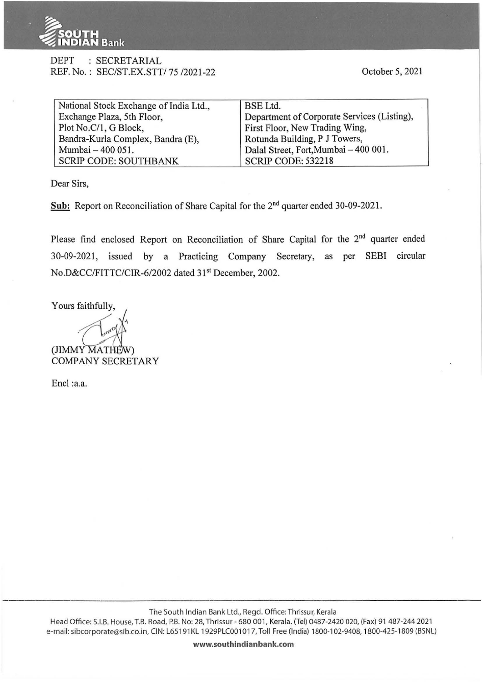

## DEPT : SECRETARIAL REF. No. : SEC/ST.EX.STT/75/2021-22

October 5, 2021

| National Stock Exchange of India Ltd., | <b>BSE</b> Ltd.                             |
|----------------------------------------|---------------------------------------------|
| Exchange Plaza, 5th Floor,             | Department of Corporate Services (Listing), |
| Plot No.C/1, G Block,                  | First Floor, New Trading Wing,              |
| Bandra-Kurla Complex, Bandra (E),      | Rotunda Building, P J Towers,               |
| Mumbai - 400 051.                      | Dalal Street, Fort, Mumbai - 400 001.       |
| <b>SCRIP CODE: SOUTHBANK</b>           | <b>SCRIP CODE: 532218</b>                   |

Dear Sirs,

**Sub:** Report on Reconciliation of Share Capital for the 2"d quarter ended 30-09-2021.

Please find enclosed Report on Reconciliation of Share Capital for the 2<sup>nd</sup> quarter ended 30-09-2021, issued by a Practicing Company Secretary, as per SEBI circular No.D&CC/FITTC/CIR-6/2002 dated 31<sup>st</sup> December, 2002.

Yours faithfully,

(JIMMY MATHE COMPANY SECRETARY

Encl :a.a.

The South Indian Bank Ltd., Regd. Office: Thrissur, Kerala Head Office: S.I.B. House, T.B. Road, P.B. No: 28, Thrissur - 680 001, Kerala. (Tel) 0487-2420 020, (Fax) 91 487-244 2021

e-mail: sibcorporate@sib.co.in, CIN: L65191KL 1929PLC001017, Toll Free (India) 1800-102-9408, 1800-425-1809 (BSNL)

**www.southindianbank.com**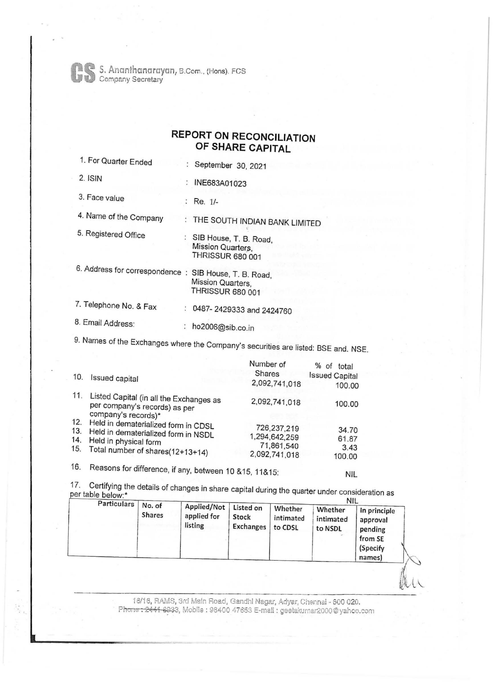S. Ananthcmarayan, B.Com .. (Hons). FCS Company Secretary

## **REPORT ON RECONCILIATION OF SHARE CAPITAL**

| 1. For Quarter Ended                                   | : September 30, 2021                                                   |
|--------------------------------------------------------|------------------------------------------------------------------------|
| $2.$ ISIN                                              | : INE683A01023                                                         |
| 3. Face value                                          | : Re. $1/-$                                                            |
| 4. Name of the Company                                 | : THE SOUTH INDIAN BANK LIMITED                                        |
| 5. Registered Office                                   | SIB House, T. B. Road,<br>Mission Quarters.<br><b>THRISSUR 680 001</b> |
| 6. Address for correspondence : SIB House, T. B. Road, | Mission Quarters,<br><b>THRISSUR 680 001</b>                           |
| 7. Telephone No. & Fax                                 | : 0487-2429333 and 2424760                                             |
| 8. Email Address:                                      | ho2006@sib.co.in                                                       |
|                                                        |                                                                        |

9. Names of the Exchanges where the Company's securities are listed: BSE and. NSE.

| 10.                      | Issued capital                                                                                                                          | Number of<br>Shares<br>2,092,741,018                        | % of total<br><b>Issued Capital</b><br>100.00 |
|--------------------------|-----------------------------------------------------------------------------------------------------------------------------------------|-------------------------------------------------------------|-----------------------------------------------|
| 11.                      | Listed Capital (in all the Exchanges as<br>per company's records) as per<br>company's records)*                                         | 2,092,741,018                                               | 100.00                                        |
| 12.<br>13.<br>14.<br>15. | Held in dematerialized form in CDSL<br>Held in dematerialized form in NSDL<br>Held in physical form<br>Total number of shares(12+13+14) | 726,237,219<br>1,294,642,259<br>71,861,540<br>2,092,741,018 | 34.70<br>61.87<br>3.43<br>100.00              |

16. Reasons for difference, if any, between 10 & 15, 11& 15:

17. Certifying the details of changes in share capital during the quarter under consideration as er table below:\* Nill and the state of the state of the state of the state of the state of the state of the state of the state of the state of the state of the state of the state of the state of the state of the state of t

|  | Particulars<br>No. of<br><b>Shares</b> | Applied/Not<br>applied for<br>listing | Listed on<br>Stock<br><b>Exchanges</b> | Whether<br>intimated<br>to CDSL | IVIL<br>Whether<br>intimated<br>to NSDL | In principle<br>approval<br>pending<br>from SE<br>(Specify<br>names) |
|--|----------------------------------------|---------------------------------------|----------------------------------------|---------------------------------|-----------------------------------------|----------------------------------------------------------------------|
|--|----------------------------------------|---------------------------------------|----------------------------------------|---------------------------------|-----------------------------------------|----------------------------------------------------------------------|

NIL

16/16, RAMS, 3rd Main Road, Gandhi Nagar, Adyar, Chennai - 600 020. Phone: 2441-8933, Mobile : 98400 47653 E-mail : geetakumar 2000@yahoo.com